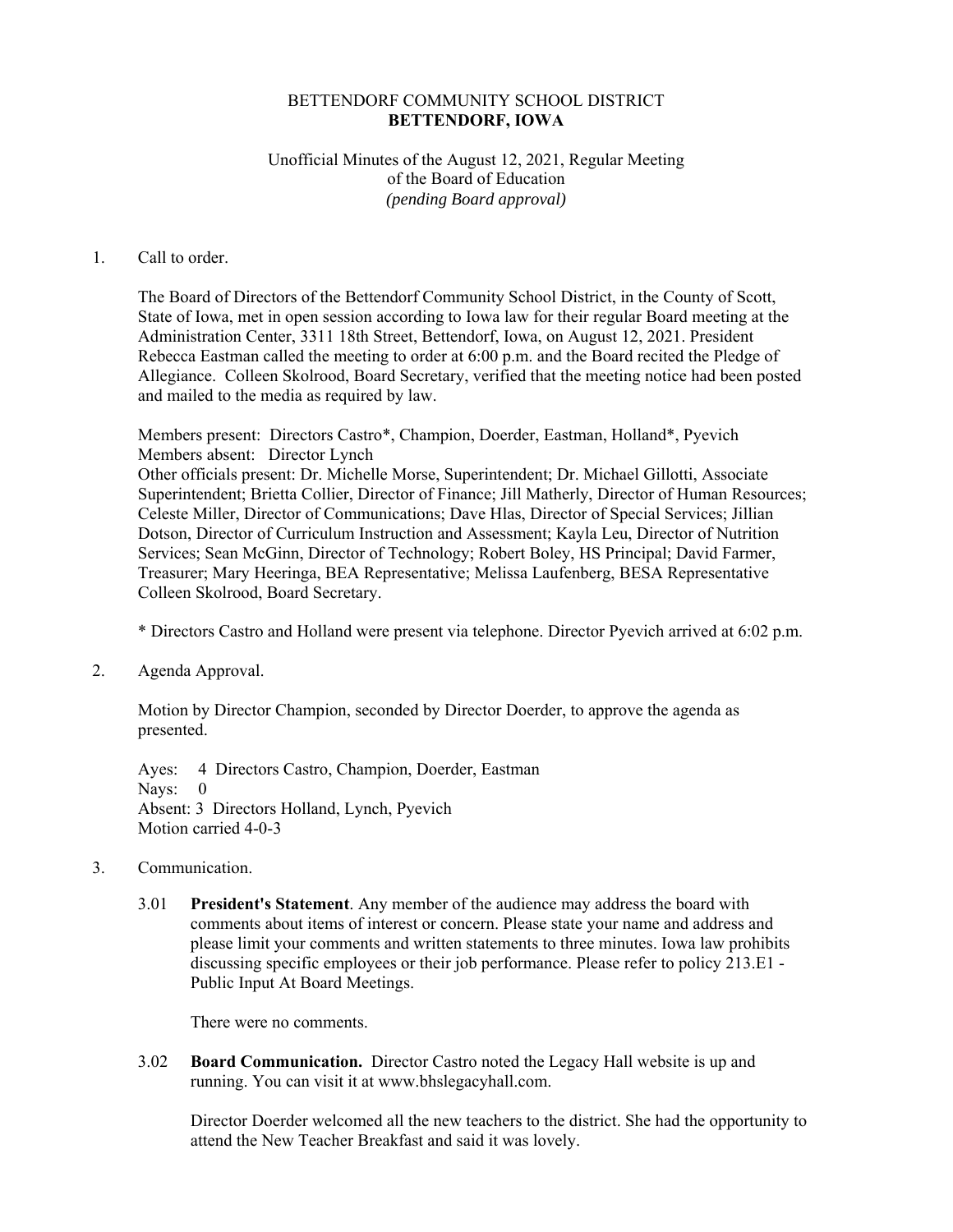### BETTENDORF COMMUNITY SCHOOL DISTRICT **BETTENDORF, IOWA**

### Unofficial Minutes of the August 12, 2021, Regular Meeting of the Board of Education *(pending Board approval)*

#### 1. Call to order.

The Board of Directors of the Bettendorf Community School District, in the County of Scott, State of Iowa, met in open session according to Iowa law for their regular Board meeting at the Administration Center, 3311 18th Street, Bettendorf, Iowa, on August 12, 2021. President Rebecca Eastman called the meeting to order at 6:00 p.m. and the Board recited the Pledge of Allegiance. Colleen Skolrood, Board Secretary, verified that the meeting notice had been posted and mailed to the media as required by law.

Members present: Directors Castro\*, Champion, Doerder, Eastman, Holland\*, Pyevich Members absent: Director Lynch Other officials present: Dr. Michelle Morse, Superintendent; Dr. Michael Gillotti, Associate Superintendent; Brietta Collier, Director of Finance; Jill Matherly, Director of Human Resources; Celeste Miller, Director of Communications; Dave Hlas, Director of Special Services; Jillian Dotson, Director of Curriculum Instruction and Assessment; Kayla Leu, Director of Nutrition Services; Sean McGinn, Director of Technology; Robert Boley, HS Principal; David Farmer, Treasurer; Mary Heeringa, BEA Representative; Melissa Laufenberg, BESA Representative Colleen Skolrood, Board Secretary.

\* Directors Castro and Holland were present via telephone. Director Pyevich arrived at 6:02 p.m.

2. Agenda Approval.

Motion by Director Champion, seconded by Director Doerder, to approve the agenda as presented.

Ayes: 4 Directors Castro, Champion, Doerder, Eastman Nays: 0 Absent: 3 Directors Holland, Lynch, Pyevich Motion carried 4-0-3

- 3. Communication.
	- 3.01 **President's Statement**. Any member of the audience may address the board with comments about items of interest or concern. Please state your name and address and please limit your comments and written statements to three minutes. Iowa law prohibits discussing specific employees or their job performance. Please refer to policy 213.E1 - Public Input At Board Meetings.

There were no comments.

 3.02 **Board Communication.** Director Castro noted the Legacy Hall website is up and running. You can visit it at www.bhslegacyhall.com.

Director Doerder welcomed all the new teachers to the district. She had the opportunity to attend the New Teacher Breakfast and said it was lovely.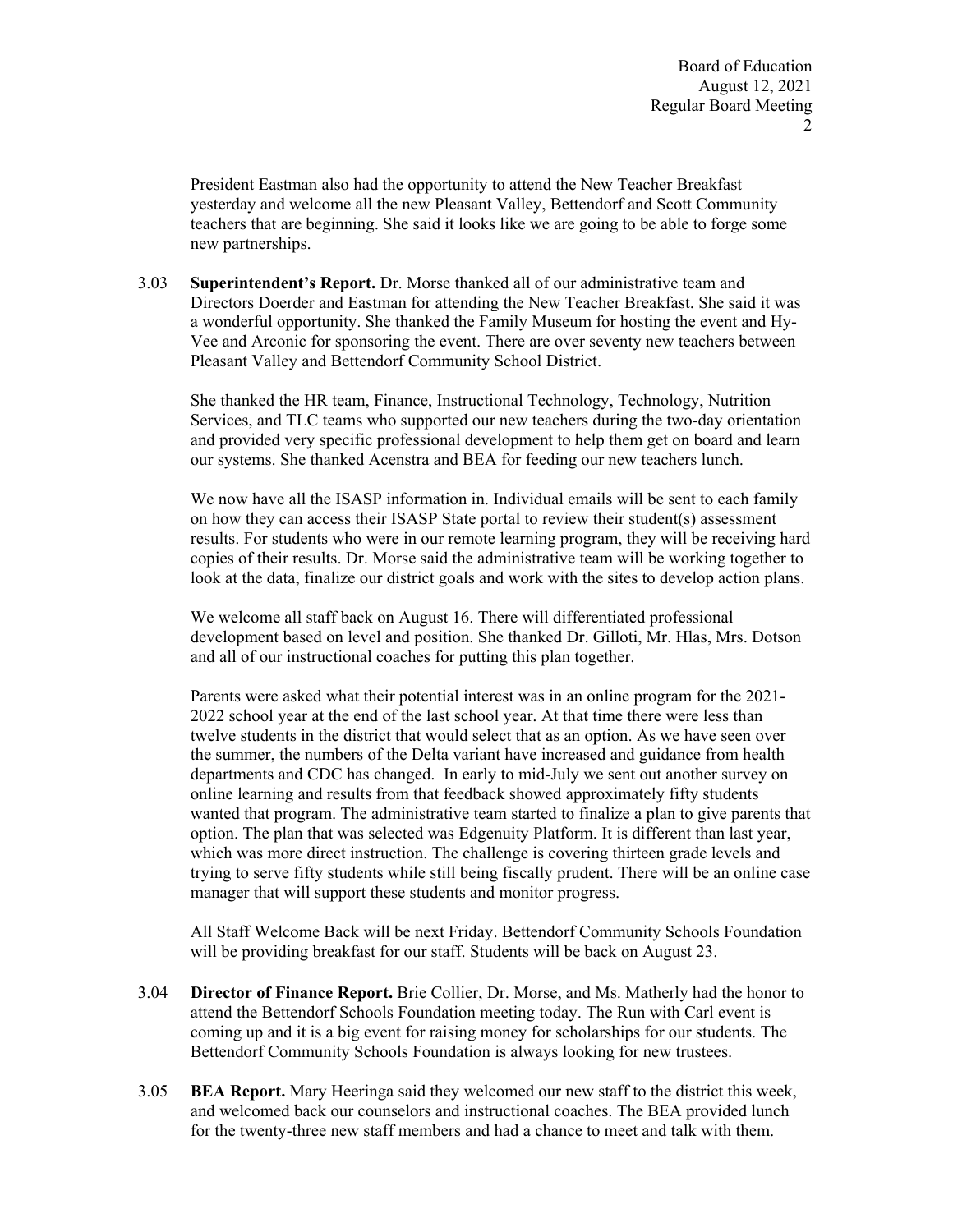President Eastman also had the opportunity to attend the New Teacher Breakfast yesterday and welcome all the new Pleasant Valley, Bettendorf and Scott Community teachers that are beginning. She said it looks like we are going to be able to forge some new partnerships.

 3.03 **Superintendent's Report.** Dr. Morse thanked all of our administrative team and Directors Doerder and Eastman for attending the New Teacher Breakfast. She said it was a wonderful opportunity. She thanked the Family Museum for hosting the event and Hy-Vee and Arconic for sponsoring the event. There are over seventy new teachers between Pleasant Valley and Bettendorf Community School District.

She thanked the HR team, Finance, Instructional Technology, Technology, Nutrition Services, and TLC teams who supported our new teachers during the two-day orientation and provided very specific professional development to help them get on board and learn our systems. She thanked Acenstra and BEA for feeding our new teachers lunch.

We now have all the ISASP information in. Individual emails will be sent to each family on how they can access their ISASP State portal to review their student(s) assessment results. For students who were in our remote learning program, they will be receiving hard copies of their results. Dr. Morse said the administrative team will be working together to look at the data, finalize our district goals and work with the sites to develop action plans.

We welcome all staff back on August 16. There will differentiated professional development based on level and position. She thanked Dr. Gilloti, Mr. Hlas, Mrs. Dotson and all of our instructional coaches for putting this plan together.

Parents were asked what their potential interest was in an online program for the 2021- 2022 school year at the end of the last school year. At that time there were less than twelve students in the district that would select that as an option. As we have seen over the summer, the numbers of the Delta variant have increased and guidance from health departments and CDC has changed. In early to mid-July we sent out another survey on online learning and results from that feedback showed approximately fifty students wanted that program. The administrative team started to finalize a plan to give parents that option. The plan that was selected was Edgenuity Platform. It is different than last year, which was more direct instruction. The challenge is covering thirteen grade levels and trying to serve fifty students while still being fiscally prudent. There will be an online case manager that will support these students and monitor progress.

All Staff Welcome Back will be next Friday. Bettendorf Community Schools Foundation will be providing breakfast for our staff. Students will be back on August 23.

- 3.04 **Director of Finance Report.** Brie Collier, Dr. Morse, and Ms. Matherly had the honor to attend the Bettendorf Schools Foundation meeting today. The Run with Carl event is coming up and it is a big event for raising money for scholarships for our students. The Bettendorf Community Schools Foundation is always looking for new trustees.
- 3.05 **BEA Report.** Mary Heeringa said they welcomed our new staff to the district this week, and welcomed back our counselors and instructional coaches. The BEA provided lunch for the twenty-three new staff members and had a chance to meet and talk with them.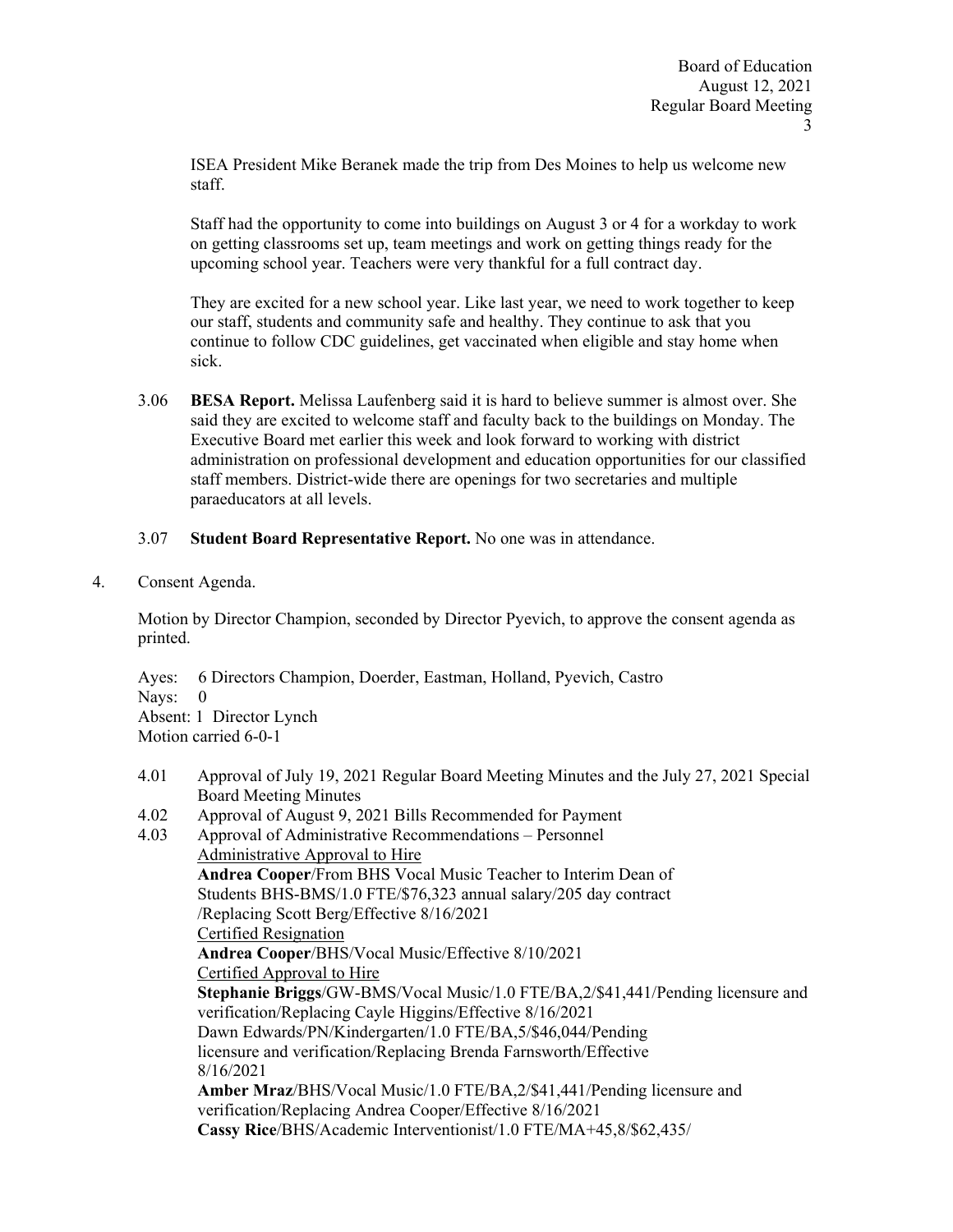ISEA President Mike Beranek made the trip from Des Moines to help us welcome new staff.

Staff had the opportunity to come into buildings on August 3 or 4 for a workday to work on getting classrooms set up, team meetings and work on getting things ready for the upcoming school year. Teachers were very thankful for a full contract day.

They are excited for a new school year. Like last year, we need to work together to keep our staff, students and community safe and healthy. They continue to ask that you continue to follow CDC guidelines, get vaccinated when eligible and stay home when sick.

 3.06 **BESA Report.** Melissa Laufenberg said it is hard to believe summer is almost over. She said they are excited to welcome staff and faculty back to the buildings on Monday. The Executive Board met earlier this week and look forward to working with district administration on professional development and education opportunities for our classified staff members. District-wide there are openings for two secretaries and multiple paraeducators at all levels.

### 3.07 **Student Board Representative Report.** No one was in attendance.

4. Consent Agenda.

 Motion by Director Champion, seconded by Director Pyevich, to approve the consent agenda as printed.

Ayes: 6 Directors Champion, Doerder, Eastman, Holland, Pyevich, Castro Nays: 0 Absent: 1 Director Lynch Motion carried 6-0-1

- 4.01 Approval of July 19, 2021 Regular Board Meeting Minutes and the July 27, 2021 Special Board Meeting Minutes
- 4.02 Approval of August 9, 2021 Bills Recommended for Payment

4.03 Approval of Administrative Recommendations – Personnel Administrative Approval to Hire **Andrea Cooper**/From BHS Vocal Music Teacher to Interim Dean of Students BHS-BMS/1.0 FTE/\$76,323 annual salary/205 day contract /Replacing Scott Berg/Effective 8/16/2021 Certified Resignation **Andrea Cooper**/BHS/Vocal Music/Effective 8/10/2021 Certified Approval to Hire **Stephanie Briggs**/GW-BMS/Vocal Music/1.0 FTE/BA,2/\$41,441/Pending licensure and verification/Replacing Cayle Higgins/Effective 8/16/2021 Dawn Edwards/PN/Kindergarten/1.0 FTE/BA,5/\$46,044/Pending licensure and verification/Replacing Brenda Farnsworth/Effective 8/16/2021 **Amber Mraz**/BHS/Vocal Music/1.0 FTE/BA,2/\$41,441/Pending licensure and verification/Replacing Andrea Cooper/Effective 8/16/2021 **Cassy Rice**/BHS/Academic Interventionist/1.0 FTE/MA+45,8/\$62,435/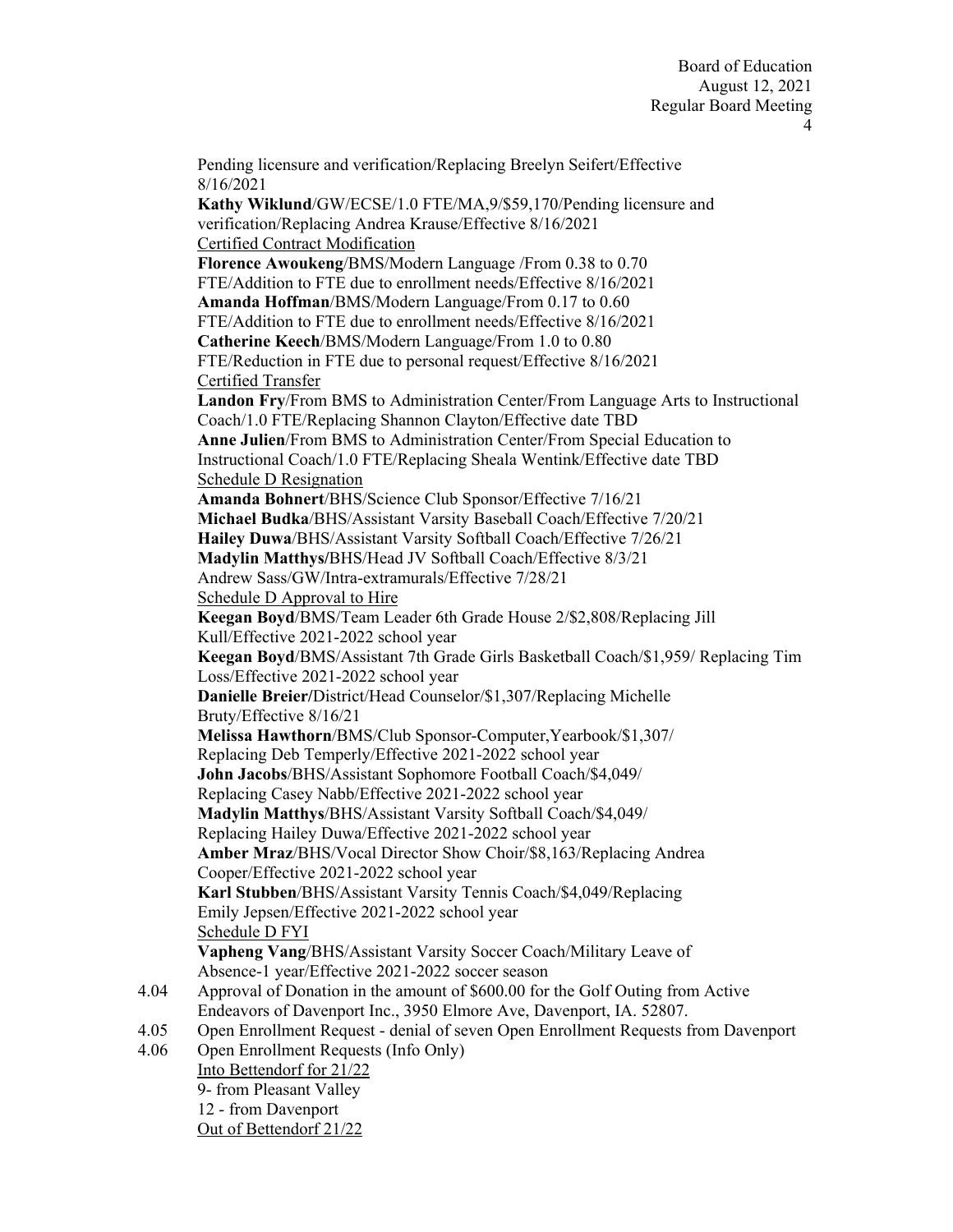Pending licensure and verification/Replacing Breelyn Seifert/Effective 8/16/2021 **Kathy Wiklund**/GW/ECSE/1.0 FTE/MA,9/\$59,170/Pending licensure and verification/Replacing Andrea Krause/Effective 8/16/2021 Certified Contract Modification **Florence Awoukeng**/BMS/Modern Language /From 0.38 to 0.70 FTE/Addition to FTE due to enrollment needs/Effective 8/16/2021 **Amanda Hoffman**/BMS/Modern Language/From 0.17 to 0.60 FTE/Addition to FTE due to enrollment needs/Effective 8/16/2021 **Catherine Keech**/BMS/Modern Language/From 1.0 to 0.80 FTE/Reduction in FTE due to personal request/Effective 8/16/2021 Certified Transfer **Landon Fry**/From BMS to Administration Center/From Language Arts to Instructional Coach/1.0 FTE/Replacing Shannon Clayton/Effective date TBD **Anne Julien**/From BMS to Administration Center/From Special Education to Instructional Coach/1.0 FTE/Replacing Sheala Wentink/Effective date TBD Schedule D Resignation **Amanda Bohnert**/BHS/Science Club Sponsor/Effective 7/16/21 **Michael Budka**/BHS/Assistant Varsity Baseball Coach/Effective 7/20/21 **Hailey Duwa**/BHS/Assistant Varsity Softball Coach/Effective 7/26/21 **Madylin Matthys/**BHS/Head JV Softball Coach/Effective 8/3/21 Andrew Sass/GW/Intra-extramurals/Effective 7/28/21 Schedule D Approval to Hire **Keegan Boyd**/BMS/Team Leader 6th Grade House 2/\$2,808/Replacing Jill Kull/Effective 2021-2022 school year **Keegan Boyd**/BMS/Assistant 7th Grade Girls Basketball Coach/\$1,959/ Replacing Tim Loss/Effective 2021-2022 school year **Danielle Breier/**District/Head Counselor/\$1,307/Replacing Michelle Bruty/Effective 8/16/21 **Melissa Hawthorn**/BMS/Club Sponsor-Computer,Yearbook/\$1,307/ Replacing Deb Temperly/Effective 2021-2022 school year **John Jacobs**/BHS/Assistant Sophomore Football Coach/\$4,049/ Replacing Casey Nabb/Effective 2021-2022 school year **Madylin Matthys**/BHS/Assistant Varsity Softball Coach/\$4,049/ Replacing Hailey Duwa/Effective 2021-2022 school year **Amber Mraz**/BHS/Vocal Director Show Choir/\$8,163/Replacing Andrea Cooper/Effective 2021-2022 school year **Karl Stubben**/BHS/Assistant Varsity Tennis Coach/\$4,049/Replacing Emily Jepsen/Effective 2021-2022 school year Schedule D FYI **Vapheng Vang**/BHS/Assistant Varsity Soccer Coach/Military Leave of Absence-1 year/Effective 2021-2022 soccer season Approval of Donation in the amount of \$600.00 for the Golf Outing from Active Endeavors of Davenport Inc., 3950 Elmore Ave, Davenport, IA. 52807. Open Enrollment Request - denial of seven Open Enrollment Requests from Davenport Open Enrollment Requests (Info Only) Into Bettendorf for 21/22 9- from Pleasant Valley 12 - from Davenport Out of Bettendorf 21/22

4.04

4.05 4.06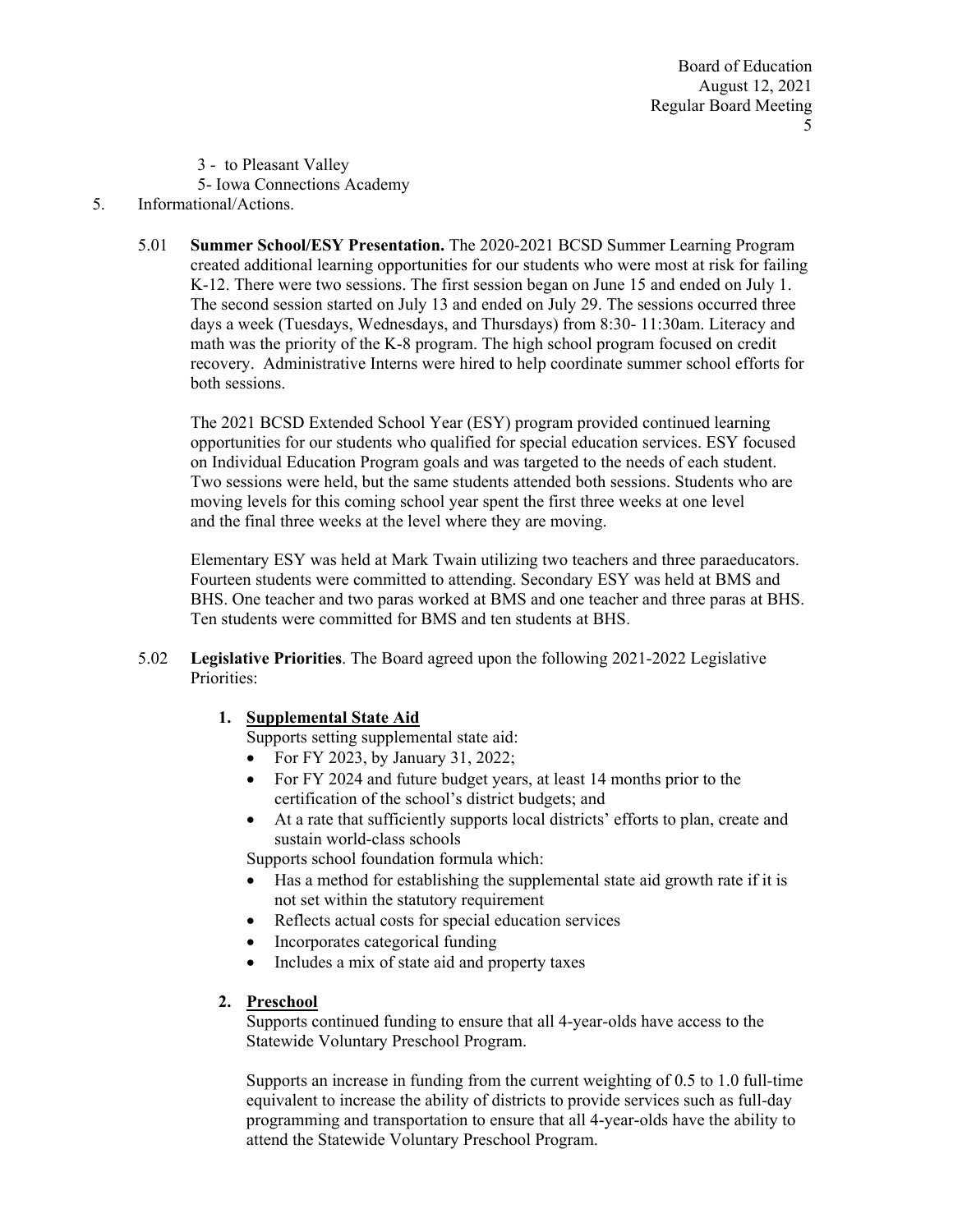3 - to Pleasant Valley

5- Iowa Connections Academy

# 5. Informational/Actions.

 5.01 **Summer School/ESY Presentation.** The 2020-2021 BCSD Summer Learning Program created additional learning opportunities for our students who were most at risk for failing K-12. There were two sessions. The first session began on June 15 and ended on July 1. The second session started on July 13 and ended on July 29. The sessions occurred three days a week (Tuesdays, Wednesdays, and Thursdays) from 8:30- 11:30am. Literacy and math was the priority of the K-8 program. The high school program focused on credit recovery. Administrative Interns were hired to help coordinate summer school efforts for both sessions.

The 2021 BCSD Extended School Year (ESY) program provided continued learning opportunities for our students who qualified for special education services. ESY focused on Individual Education Program goals and was targeted to the needs of each student. Two sessions were held, but the same students attended both sessions. Students who are moving levels for this coming school year spent the first three weeks at one level and the final three weeks at the level where they are moving.

Elementary ESY was held at Mark Twain utilizing two teachers and three paraeducators. Fourteen students were committed to attending. Secondary ESY was held at BMS and BHS. One teacher and two paras worked at BMS and one teacher and three paras at BHS. Ten students were committed for BMS and ten students at BHS.

 5.02 **Legislative Priorities**. The Board agreed upon the following 2021-2022 Legislative Priorities:

# **1. Supplemental State Aid**

Supports setting supplemental state aid:

- For FY 2023, by January 31, 2022;
- For FY 2024 and future budget years, at least 14 months prior to the certification of the school's district budgets; and
- At a rate that sufficiently supports local districts' efforts to plan, create and sustain world-class schools

Supports school foundation formula which:

- Has a method for establishing the supplemental state aid growth rate if it is not set within the statutory requirement
- Reflects actual costs for special education services
- Incorporates categorical funding
- Includes a mix of state aid and property taxes

### **2. Preschool**

Supports continued funding to ensure that all 4-year-olds have access to the Statewide Voluntary Preschool Program.

Supports an increase in funding from the current weighting of 0.5 to 1.0 full-time equivalent to increase the ability of districts to provide services such as full-day programming and transportation to ensure that all 4-year-olds have the ability to attend the Statewide Voluntary Preschool Program.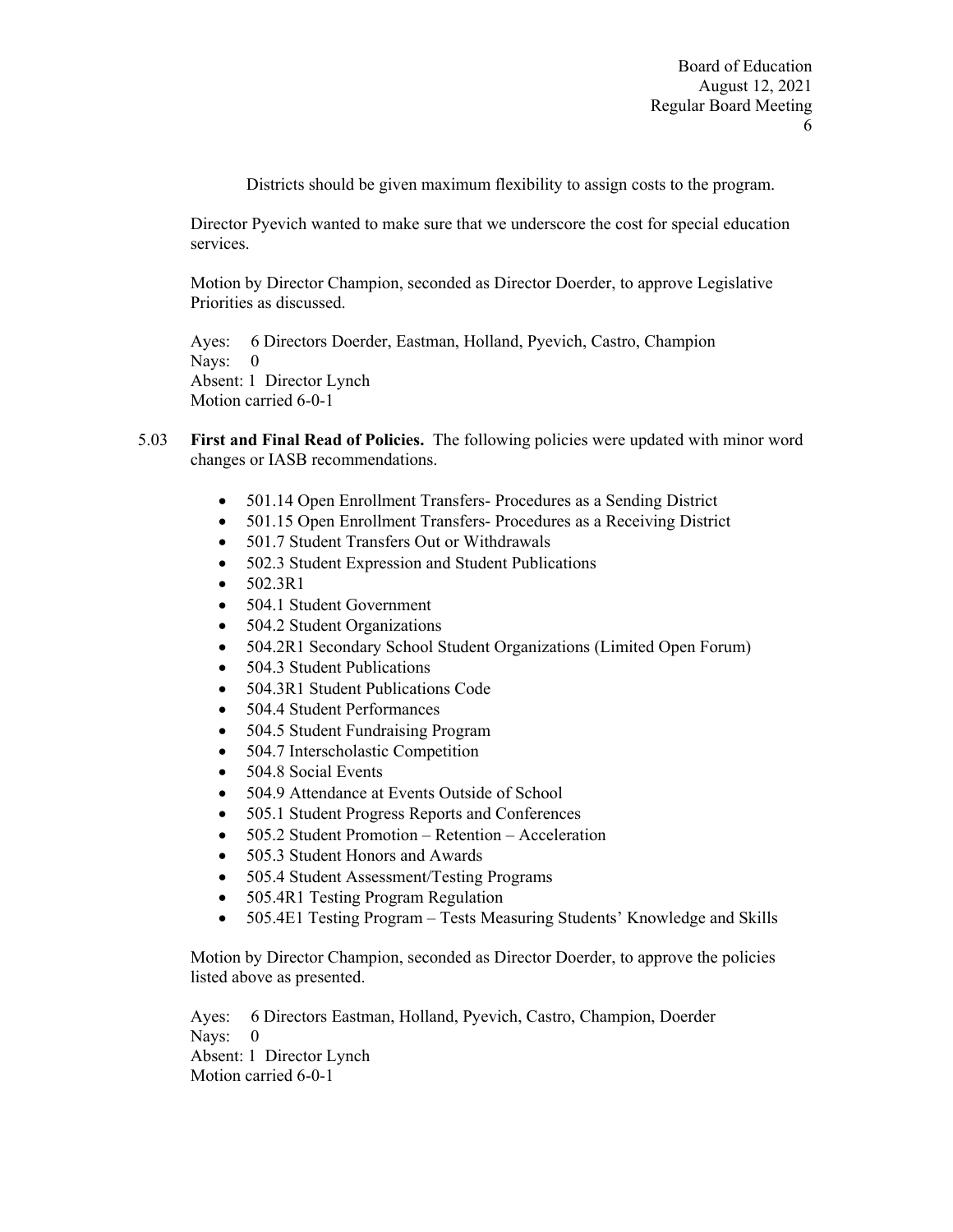Districts should be given maximum flexibility to assign costs to the program.

Director Pyevich wanted to make sure that we underscore the cost for special education services.

Motion by Director Champion, seconded as Director Doerder, to approve Legislative Priorities as discussed.

Ayes: 6 Directors Doerder, Eastman, Holland, Pyevich, Castro, Champion Nays: 0 Absent: 1 Director Lynch Motion carried 6-0-1

- 5.03 **First and Final Read of Policies.** The following policies were updated with minor word changes or IASB recommendations.
	- 501.14 Open Enrollment Transfers- Procedures as a Sending District
	- 501.15 Open Enrollment Transfers-Procedures as a Receiving District
	- 501.7 Student Transfers Out or Withdrawals
	- 502.3 Student Expression and Student Publications
	- $\bullet$  502.3R1
	- 504.1 Student Government
	- 504.2 Student Organizations
	- 504.2R1 Secondary School Student Organizations (Limited Open Forum)
	- 504.3 Student Publications
	- 504.3R1 Student Publications Code
	- 504.4 Student Performances
	- 504.5 Student Fundraising Program
	- 504.7 Interscholastic Competition
	- 504.8 Social Events
	- 504.9 Attendance at Events Outside of School
	- 505.1 Student Progress Reports and Conferences
	- 505.2 Student Promotion Retention Acceleration
	- 505.3 Student Honors and Awards
	- 505.4 Student Assessment/Testing Programs
	- 505.4R1 Testing Program Regulation
	- 505.4E1 Testing Program Tests Measuring Students' Knowledge and Skills

Motion by Director Champion, seconded as Director Doerder, to approve the policies listed above as presented.

Ayes: 6 Directors Eastman, Holland, Pyevich, Castro, Champion, Doerder Nays: 0 Absent: 1 Director Lynch Motion carried 6-0-1